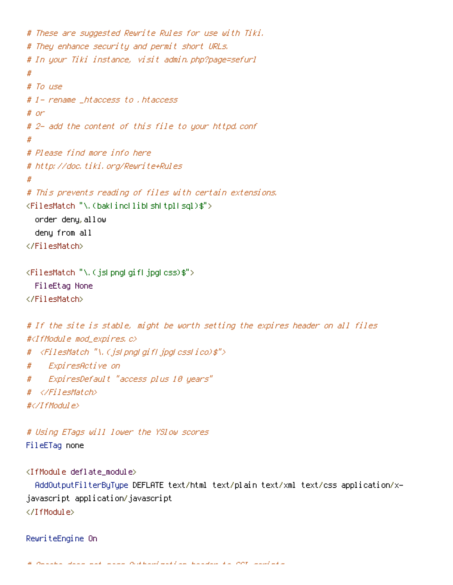```
# These are suggested Rewrite Rules for use with Tiki.
# They enhance security and permit short URLs.
# In your Tiki instance, visit admin.php?page=sefurl
#
# To use
# 1- rename _htaccess to .htaccess
# or
# 2- add the content of this file to your httpd.conf
#
# Please find more info here
# http://doc.tiki.org/Rewrite+Rules
#
# This prevents reading of files with certain extensions.
<FilesMatch "\.(bak|inc|lib|sh|tpl|sql)$">
  order deny,allow
  deny from all
</FilesMatch>
```

```
<FilesMatch "\.(js|png|gif|jpg|css)$">
  FileEtag None
</FilesMatch>
```

```
# If the site is stable, might be worth setting the expires header on all files
#<IfModule mod expires.c>
# <FilesMatch "\.(js|png|gif|jpg|css|ico)$">
# ExpiresActive on
# ExpiresDefault "access plus 10 years"
# </FilesMatch>
#</IfModule>
```

```
# Using ETags will lower the YSlow scores
FileETag none
```

```
<IfModule deflate_module>
```

```
AddOutputFilterByType DEFLATE text/html text/plain text/xml text/css application/x-
javascript application/javascript
</IfModule>
```
RewriteEngine On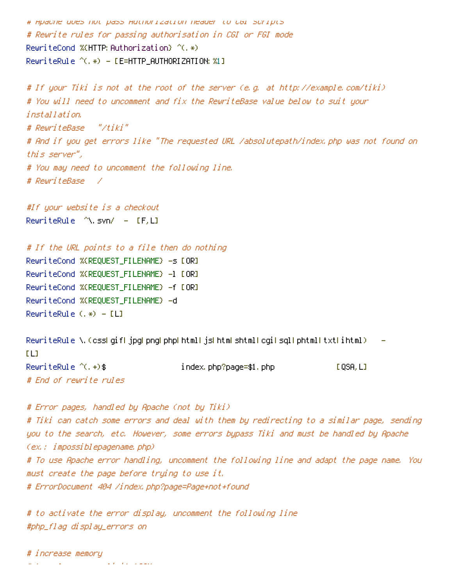```
# Apache does not pass Authorization header to CGI scripts
# Rewrite rules for passing authorisation in CGI or FGI mode
RewriteCond %(HTTP: Authorization) ^(, *)RewriteRule ^C(.*) - LE=HTTP\_AUTHORIZATION: %1]
```

```
# If your Tiki is not at the root of the server (e.g. at http://example.com/tiki)
# You will need to uncomment and fix the RewriteBase value below to suit your
installation.
# RewriteBase "/tiki"
# And if you get errors like "The requested URL /absolutepath/index.php was not found on
this server",
# You may need to uncomment the following line.
# RewriteBase /
```
#If your website is <sup>a</sup> checkout RewriteRule  $\wedge$ .svn/ - [F,L]

# If the URL points to <sup>a</sup> file then do nothing RewriteCond %{REQUEST\_FILENAME} -s [OR] RewriteCond %{REQUEST\_FILENAME} -1 [OR] RewriteCond %{REQUEST\_FILENAME} -f [OR] RewriteCond %{REQUEST\_FILENAME} -d RewriteRule  $(.*) - [L]$ 

```
RewriteRule \.(css|gif|jpg|png|php|html|js|htmlshtml|cgi|sql|phtml|txt|ihtml) --
[LL]RewriteRule \hat{C}. \leftrightarrow $ index.php?page=$1.php [QSA,L]
# End of rewrite rules
```

```
# Error pages, handled by Apache (not by Tiki)
# Tiki can catch some errors and deal with them by redirecting to a similar page, sending
you to the search, etc. However, some errors bypass Tiki and must be handled by Apache
(ex.: impossiblepagename.php)
# To use Apache error handling, uncomment the following line and adapt the page name. You
must create the page before trying to use it.
# ErrorDocument 404 /index.php?page=Page+not+found
```

```
# to activate the error display, uncomment the following line
#php_flag display_errors on
```
# increase memory  $\mu$  and  $\mu$  is the memory limit  $128$